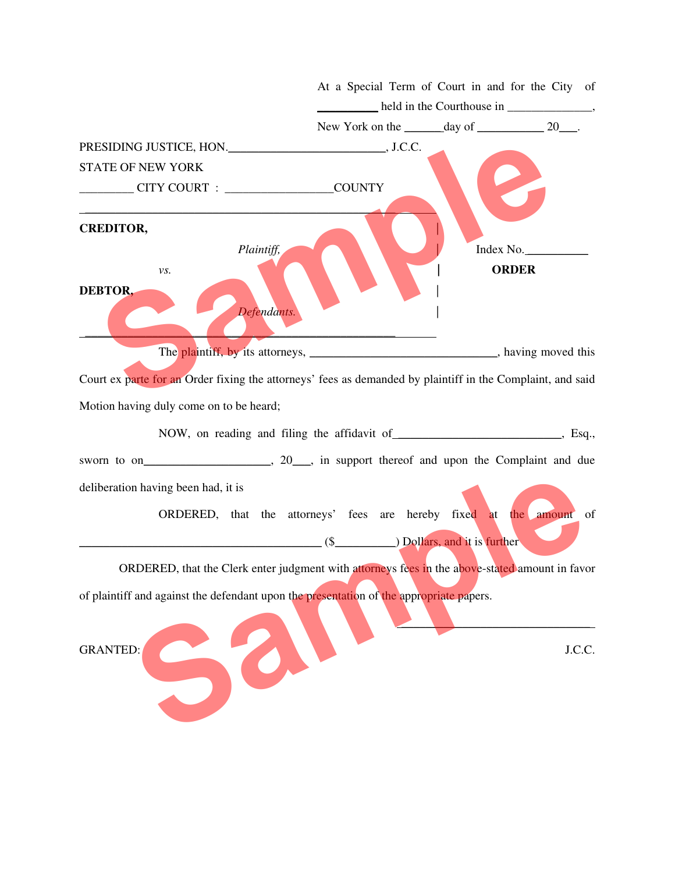| CITY COURT : COUNTY | New York on the $\_\_\_\_$ day of $\_\_\_\_\_$ 20. |                                                                                                                                                                                                                                                                                                                                                                                                                                                                                                      |
|---------------------|----------------------------------------------------|------------------------------------------------------------------------------------------------------------------------------------------------------------------------------------------------------------------------------------------------------------------------------------------------------------------------------------------------------------------------------------------------------------------------------------------------------------------------------------------------------|
|                     |                                                    |                                                                                                                                                                                                                                                                                                                                                                                                                                                                                                      |
|                     |                                                    |                                                                                                                                                                                                                                                                                                                                                                                                                                                                                                      |
|                     |                                                    |                                                                                                                                                                                                                                                                                                                                                                                                                                                                                                      |
|                     |                                                    |                                                                                                                                                                                                                                                                                                                                                                                                                                                                                                      |
|                     |                                                    |                                                                                                                                                                                                                                                                                                                                                                                                                                                                                                      |
|                     |                                                    |                                                                                                                                                                                                                                                                                                                                                                                                                                                                                                      |
|                     |                                                    |                                                                                                                                                                                                                                                                                                                                                                                                                                                                                                      |
|                     |                                                    |                                                                                                                                                                                                                                                                                                                                                                                                                                                                                                      |
|                     |                                                    |                                                                                                                                                                                                                                                                                                                                                                                                                                                                                                      |
|                     |                                                    |                                                                                                                                                                                                                                                                                                                                                                                                                                                                                                      |
|                     |                                                    |                                                                                                                                                                                                                                                                                                                                                                                                                                                                                                      |
|                     |                                                    |                                                                                                                                                                                                                                                                                                                                                                                                                                                                                                      |
|                     |                                                    |                                                                                                                                                                                                                                                                                                                                                                                                                                                                                                      |
|                     |                                                    |                                                                                                                                                                                                                                                                                                                                                                                                                                                                                                      |
|                     |                                                    |                                                                                                                                                                                                                                                                                                                                                                                                                                                                                                      |
|                     |                                                    |                                                                                                                                                                                                                                                                                                                                                                                                                                                                                                      |
|                     |                                                    |                                                                                                                                                                                                                                                                                                                                                                                                                                                                                                      |
|                     |                                                    |                                                                                                                                                                                                                                                                                                                                                                                                                                                                                                      |
|                     |                                                    |                                                                                                                                                                                                                                                                                                                                                                                                                                                                                                      |
|                     |                                                    |                                                                                                                                                                                                                                                                                                                                                                                                                                                                                                      |
|                     |                                                    |                                                                                                                                                                                                                                                                                                                                                                                                                                                                                                      |
|                     |                                                    |                                                                                                                                                                                                                                                                                                                                                                                                                                                                                                      |
|                     |                                                    | J.C.C.                                                                                                                                                                                                                                                                                                                                                                                                                                                                                               |
|                     |                                                    |                                                                                                                                                                                                                                                                                                                                                                                                                                                                                                      |
|                     |                                                    | Index No.<br><b>ORDER</b><br>The plaintiff, by its attorneys, _________________________________, having moved this<br>Court ex parte for an Order fixing the attorneys' fees as demanded by plaintiff in the Complaint, and said<br>ORDERED, that the attorneys' fees are hereby fixed at the amount of<br>ORDERED, that the Clerk enter judgment with attorneys fees in the above-stated amount in favor<br>of plaintiff and against the defendant upon the presentation of the appropriate papers. |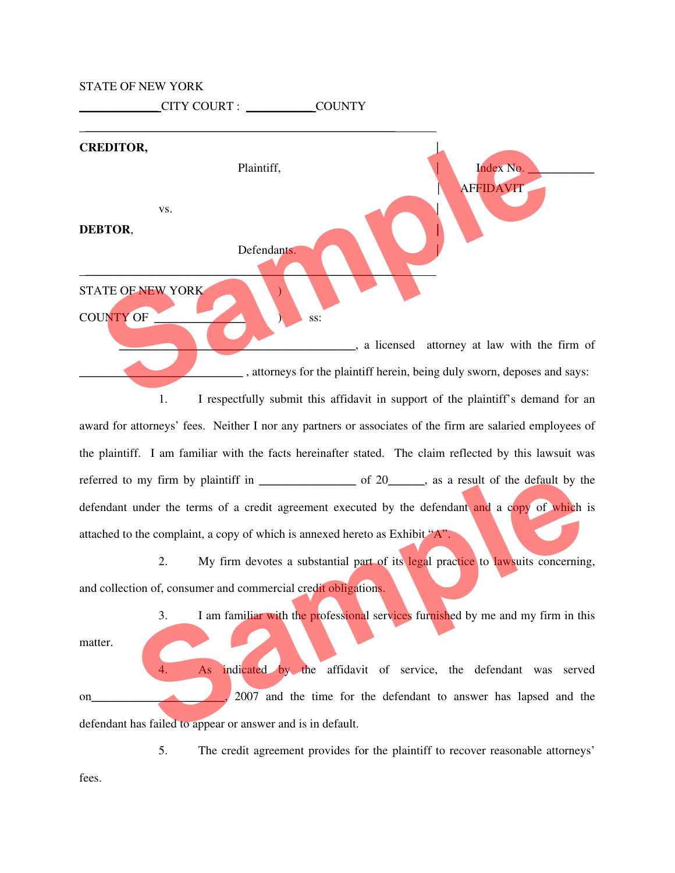## STATE OF NEW YORK

\_\_\_\_\_\_\_\_\_\_\_\_\_ CITY COURT : \_\_\_\_\_\_\_\_\_\_\_ COUNTY

## \_\_\_\_\_\_\_\_\_\_\_\_\_\_\_\_\_\_\_\_\_\_\_\_\_\_\_\_\_\_\_\_\_\_\_\_\_\_\_\_\_\_\_\_\_\_\_\_\_\_\_ **CREDITOR,** | Plaintiff,  $Index No.$  | AFFIDAVIT vs. **DEBTOR**, **|**  Defendants.  $\blacksquare$ STATE OF NEW YORK ) COUNTY OF SS: \_\_\_\_\_\_\_\_\_\_\_\_\_\_\_\_\_\_\_\_\_\_\_\_\_\_\_\_\_\_\_\_\_\_\_\_\_\_\_, a licensed attorney at law with the firm of \_\_\_\_\_\_\_\_\_\_\_\_\_\_\_\_\_\_\_\_\_\_\_\_\_\_\_ , attorneys for the plaintiff herein, being duly sworn, deposes and says: 1. I respectfully submit this affidavit in support of the plaintiff's demand for an award for attorneys' fees. Neither I nor any partners or associates of the firm are salaried employees of **EXEDITOR,**<br>
Plaintiff,<br>
VS.<br> **DEBTOR,**<br> **STATE OF NEW YORK**<br> **STATE OF NEW YORK**<br>
SIS.<br>
SIS.<br>
A licensed attorney at law with the firm of<br>
a licensed attorney at law with the firm of<br>
a licensed attorney at law with the f

the plaintiff. I am familiar with the facts hereinafter stated. The claim reflected by this lawsuit was referred to my firm by plaintiff in  $\qquad \qquad$  of 20  $\qquad$ , as a result of the default by the defendant under the terms of a credit agreement executed by the defendant and a copy of which is attached to the complaint, a copy of which is annexed hereto as Exhibit "A". Frame by plaintiff in the state of the defendant and a copy of which is<br>the complaint, a copy of which is annexed hereto as Exhibit **Frame and a copy of which** is<br>the complaint, a copy of which is annexed hereto as Exhibit

2. My firm devotes a substantial part of its legal practice to lawsuits concerning, and collection of, consumer and commercial credit obligations.

3. I am familiar with the professional services furnished by me and my firm in this

matter.

As indicated by the affidavit of service, the defendant was served on<sub>12</sub> 2007 and the time for the defendant to answer has lapsed and the defendant has failed to appear or answer and is in default.

5. The credit agreement provides for the plaintiff to recover reasonable attorneys'

fees.